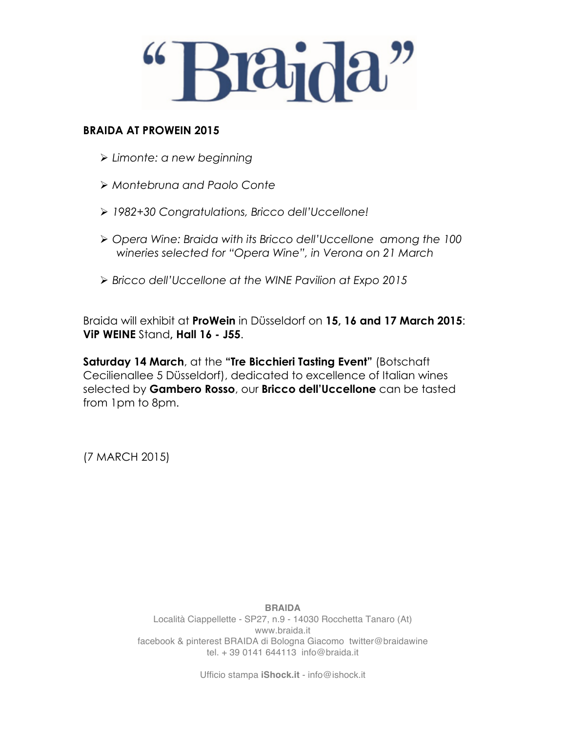

#### **BRAIDA AT PROWEIN 2015**

- Ø *Limonte: a new beginning*
- Ø *Montebruna and Paolo Conte*
- Ø *1982+30 Congratulations, Bricco dell'Uccellone!*
- Ø *Opera Wine: Braida with its Bricco dell'Uccellone among the 100 wineries selected for "Opera Wine", in Verona on 21 March*
- Ø *Bricco dell'Uccellone at the WINE Pavilion at Expo 2015*

Braida will exhibit at **ProWein** in Düsseldorf on **15, 16 and 17 March 2015**: **ViP WEINE** Stand**, Hall 16 - J55**.

**Saturday 14 March**, at the **"Tre Bicchieri Tasting Event"** (Botschaft Cecilienallee 5 Düsseldorf), dedicated to excellence of Italian wines selected by **Gambero Rosso**, our **Bricco dell'Uccellone** can be tasted from 1pm to 8pm.

(7 MARCH 2015)

**BRAIDA** Località Ciappellette - SP27, n.9 - 14030 Rocchetta Tanaro (At) www.braida.it facebook & pinterest BRAIDA di Bologna Giacomo twitter@braidawine tel. + 39 0141 644113 info@braida.it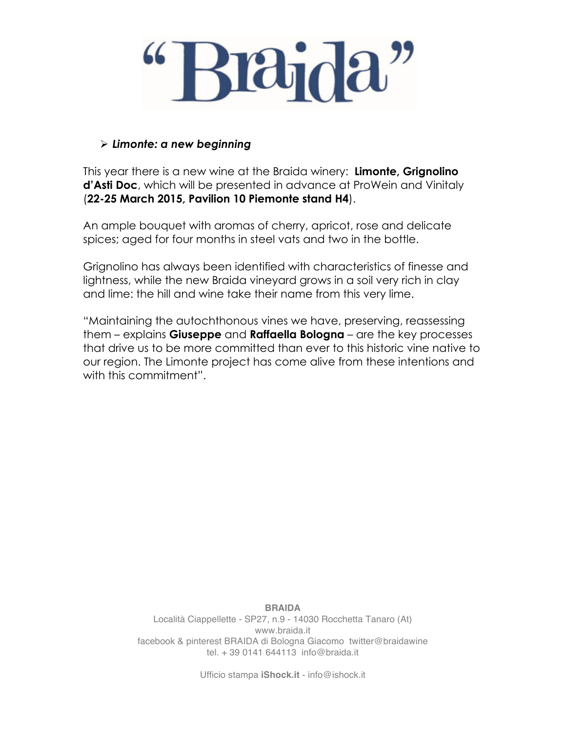

#### Ø *Limonte: a new beginning*

This year there is a new wine at the Braida winery: **Limonte, Grignolino d'Asti Doc**, which will be presented in advance at ProWein and Vinitaly (**22-25 March 2015, Pavilion 10 Piemonte stand H4**).

An ample bouquet with aromas of cherry, apricot, rose and delicate spices; aged for four months in steel vats and two in the bottle.

Grignolino has always been identified with characteristics of finesse and lightness, while the new Braida vineyard grows in a soil very rich in clay and lime: the hill and wine take their name from this very lime.

"Maintaining the autochthonous vines we have, preserving, reassessing them – explains **Giuseppe** and **Raffaella Bologna** – are the key processes that drive us to be more committed than ever to this historic vine native to our region. The Limonte project has come alive from these intentions and with this commitment".

> **BRAIDA** Località Ciappellette - SP27, n.9 - 14030 Rocchetta Tanaro (At) www.braida.it facebook & pinterest BRAIDA di Bologna Giacomo twitter@braidawine tel. + 39 0141 644113 info@braida.it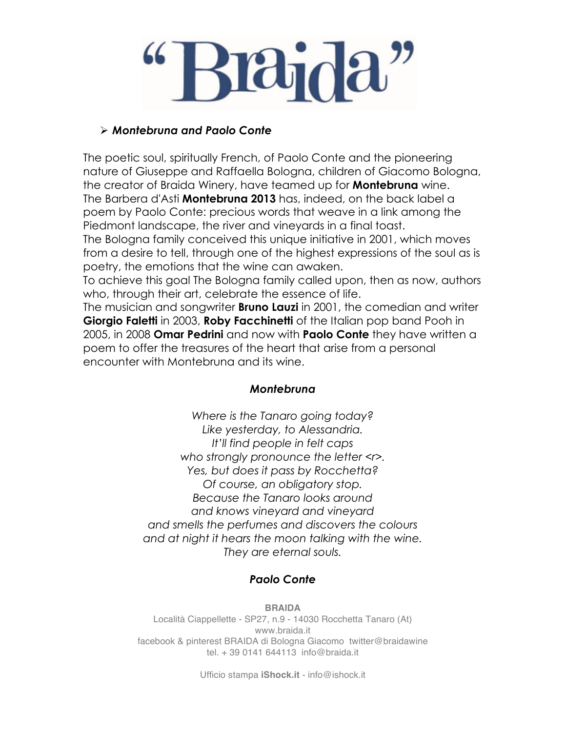# $\mathop{\rm dncl}\nolimits$

## Ø *Montebruna and Paolo Conte*

The poetic soul, spiritually French, of Paolo Conte and the pioneering nature of Giuseppe and Raffaella Bologna, children of Giacomo Bologna, the creator of Braida Winery, have teamed up for **Montebruna** wine. The Barbera d'Asti **Montebruna 2013** has, indeed, on the back label a poem by Paolo Conte: precious words that weave in a link among the Piedmont landscape, the river and vineyards in a final toast. The Bologna family conceived this unique initiative in 2001, which moves from a desire to tell, through one of the highest expressions of the soul as is poetry, the emotions that the wine can awaken.

To achieve this goal The Bologna family called upon, then as now, authors who, through their art, celebrate the essence of life.

The musician and songwriter **Bruno Lauzi** in 2001, the comedian and writer **Giorgio Faletti** in 2003, **Roby Facchinetti** of the Italian pop band Pooh in 2005, in 2008 **Omar Pedrini** and now with **Paolo Conte** they have written a poem to offer the treasures of the heart that arise from a personal encounter with Montebruna and its wine.

#### *Montebruna*

*Where is the Tanaro going today? Like yesterday, to Alessandria. It'll find people in felt caps who strongly pronounce the letter <r>. Yes, but does it pass by Rocchetta? Of course, an obligatory stop. Because the Tanaro looks around and knows vineyard and vineyard and smells the perfumes and discovers the colours and at night it hears the moon talking with the wine. They are eternal souls.*

## *Paolo Conte*

**BRAIDA** Località Ciappellette - SP27, n.9 - 14030 Rocchetta Tanaro (At) www.braida.it facebook & pinterest BRAIDA di Bologna Giacomo twitter@braidawine tel. + 39 0141 644113 info@braida.it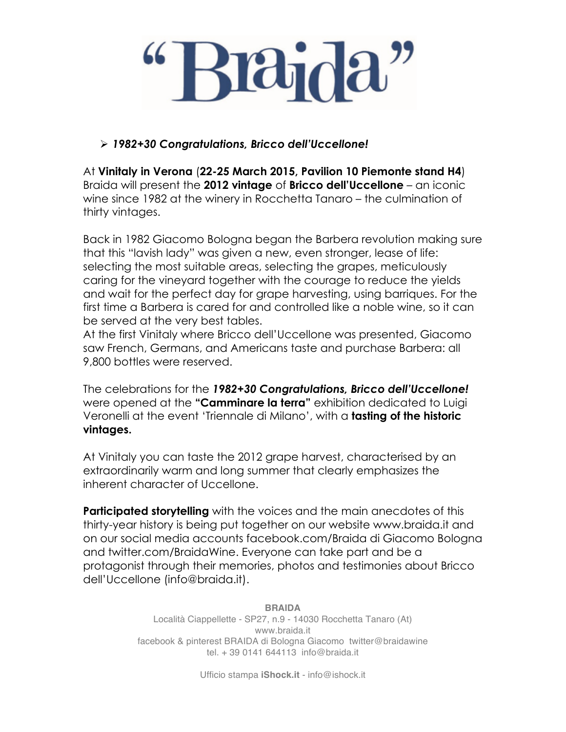## Ø *1982+30 Congratulations, Bricco dell'Uccellone!*

At **Vinitaly in Verona** (**22-25 March 2015, Pavilion 10 Piemonte stand H4**) Braida will present the **2012 vintage** of **Bricco dell'Uccellone** – an iconic wine since 1982 at the winery in Rocchetta Tanaro – the culmination of thirty vintages.

Back in 1982 Giacomo Bologna began the Barbera revolution making sure that this "lavish lady" was given a new, even stronger, lease of life: selecting the most suitable areas, selecting the grapes, meticulously caring for the vineyard together with the courage to reduce the yields and wait for the perfect day for grape harvesting, using barriques. For the first time a Barbera is cared for and controlled like a noble wine, so it can be served at the very best tables.

At the first Vinitaly where Bricco dell'Uccellone was presented, Giacomo saw French, Germans, and Americans taste and purchase Barbera: all 9,800 bottles were reserved.

The celebrations for the *1982+30 Congratulations, Bricco dell'Uccellone!*  were opened at the **"Camminare la terra"** exhibition dedicated to Luigi Veronelli at the event 'Triennale di Milano', with a **tasting of the historic vintages.**

At Vinitaly you can taste the 2012 grape harvest, characterised by an extraordinarily warm and long summer that clearly emphasizes the inherent character of Uccellone.

**Participated storytelling** with the voices and the main anecdotes of this thirty-year history is being put together on our website www.braida.it and on our social media accounts facebook.com/Braida di Giacomo Bologna and twitter.com/BraidaWine. Everyone can take part and be a protagonist through their memories, photos and testimonies about Bricco dell'Uccellone (info@braida.it).

> **BRAIDA** Località Ciappellette - SP27, n.9 - 14030 Rocchetta Tanaro (At) www.braida.it facebook & pinterest BRAIDA di Bologna Giacomo twitter@braidawine tel. + 39 0141 644113 info@braida.it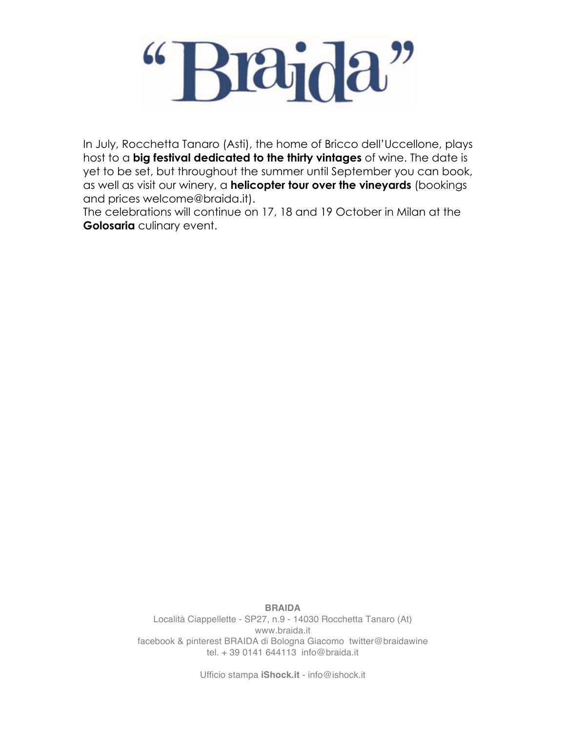# $\mathbf{a}_0^{\mathbf{i}}$

In July, Rocchetta Tanaro (Asti), the home of Bricco dell'Uccellone, plays host to a **big festival dedicated to the thirty vintages** of wine. The date is yet to be set, but throughout the summer until September you can book, as well as visit our winery, a **helicopter tour over the vineyards** (bookings and prices welcome@braida.it).

The celebrations will continue on 17, 18 and 19 October in Milan at the **Golosaria** culinary event.

> **BRAIDA** Località Ciappellette - SP27, n.9 - 14030 Rocchetta Tanaro (At) www.braida.it facebook & pinterest BRAIDA di Bologna Giacomo twitter@braidawine tel. + 39 0141 644113 info@braida.it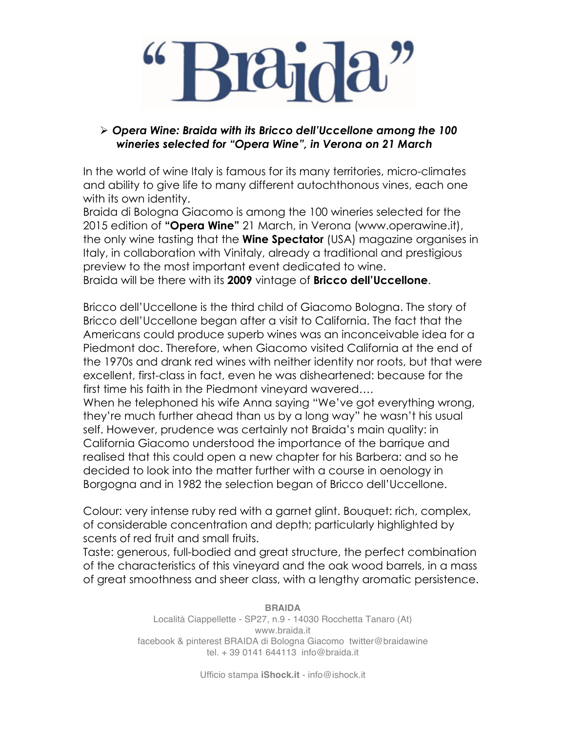### Ø *Opera Wine: Braida with its Bricco dell'Uccellone among the 100 wineries selected for "Opera Wine", in Verona on 21 March*

In the world of wine Italy is famous for its many territories, micro-climates and ability to give life to many different autochthonous vines, each one with its own identity.

Braida di Bologna Giacomo is among the 100 wineries selected for the 2015 edition of **"Opera Wine"** 21 March, in Verona (www.operawine.it), the only wine tasting that the **Wine Spectator** (USA) magazine organises in Italy, in collaboration with Vinitaly, already a traditional and prestigious preview to the most important event dedicated to wine. Braida will be there with its **2009** vintage of **Bricco dell'Uccellone**.

Bricco dell'Uccellone is the third child of Giacomo Bologna. The story of Bricco dell'Uccellone began after a visit to California. The fact that the Americans could produce superb wines was an inconceivable idea for a Piedmont doc. Therefore, when Giacomo visited California at the end of the 1970s and drank red wines with neither identity nor roots, but that were excellent, first-class in fact, even he was disheartened: because for the first time his faith in the Piedmont vineyard wavered….

When he telephoned his wife Anna saying "We've got everything wrong, they're much further ahead than us by a long way" he wasn't his usual self. However, prudence was certainly not Braida's main quality: in California Giacomo understood the importance of the barrique and realised that this could open a new chapter for his Barbera: and so he decided to look into the matter further with a course in oenology in Borgogna and in 1982 the selection began of Bricco dell'Uccellone.

Colour: very intense ruby red with a garnet glint. Bouquet: rich, complex, of considerable concentration and depth; particularly highlighted by scents of red fruit and small fruits.

Taste: generous, full-bodied and great structure, the perfect combination of the characteristics of this vineyard and the oak wood barrels, in a mass of great smoothness and sheer class, with a lengthy aromatic persistence.

> **BRAIDA** Località Ciappellette - SP27, n.9 - 14030 Rocchetta Tanaro (At) www.braida.it facebook & pinterest BRAIDA di Bologna Giacomo twitter@braidawine tel. + 39 0141 644113 info@braida.it